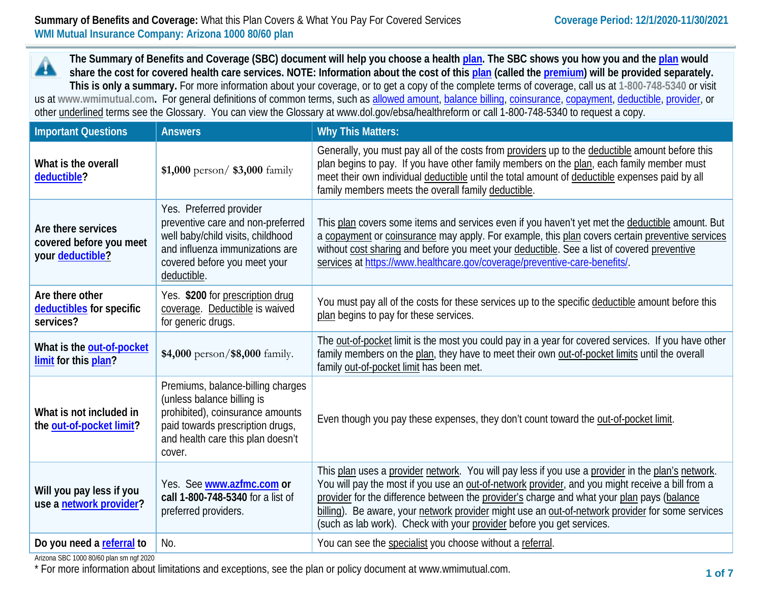## **Summary of Benefits and Coverage:** What this Plan Covers & What You Pay For Covered Services **Coverage Period: 12/1/2020-11/30/2021 WMI Mutual Insurance Company: Arizona 1000 80/60 plan**

**The Summary of Benefits and Coverage (SBC) document will help you choose a health [plan.](https://www.healthcare.gov/sbc-glossary/#plan) The SBC shows you how you and th[e plan](https://www.healthcare.gov/sbc-glossary/#plan) would** A **share the cost for covered health care services. NOTE: Information about the cost of this [plan](https://www.healthcare.gov/sbc-glossary/#plan) (called the [premium\)](https://www.healthcare.gov/sbc-glossary/#premium) will be provided separately. This is only a summary.** For more information about your coverage, or to get a copy of the complete terms of coverage, call us at **1-800-748-5340** or visit us at **www.wmimutual.com.** For general definitions of common terms, such as [allowed amount,](https://www.healthcare.gov/sbc-glossary/#allowed-amount) [balance billing,](https://www.healthcare.gov/sbc-glossary/#balance-billing) [coinsurance,](https://www.healthcare.gov/sbc-glossary/#coinsurance) [copayment,](https://www.healthcare.gov/sbc-glossary/#copayment) [deductible,](https://www.healthcare.gov/sbc-glossary/#deductible) [provider,](https://www.healthcare.gov/sbc-glossary/#provider) or other underlined terms see the Glossary. You can view the Glossary at www.dol.gov/ebsa/healthreform or call 1-800-748-5340 to request a copy.

| <b>Important Questions</b>                                        | <b>Answers</b>                                                                                                                                                                         | <b>Why This Matters:</b>                                                                                                                                                                                                                                                                                                                                                                                                                                                         |
|-------------------------------------------------------------------|----------------------------------------------------------------------------------------------------------------------------------------------------------------------------------------|----------------------------------------------------------------------------------------------------------------------------------------------------------------------------------------------------------------------------------------------------------------------------------------------------------------------------------------------------------------------------------------------------------------------------------------------------------------------------------|
| What is the overall<br>deductible?                                | \$1,000 person/ $$3,000$ family                                                                                                                                                        | Generally, you must pay all of the costs from providers up to the deductible amount before this<br>plan begins to pay. If you have other family members on the plan, each family member must<br>meet their own individual deductible until the total amount of deductible expenses paid by all<br>family members meets the overall family deductible.                                                                                                                            |
| Are there services<br>covered before you meet<br>your deductible? | Yes. Preferred provider<br>preventive care and non-preferred<br>well baby/child visits, childhood<br>and influenza immunizations are<br>covered before you meet your<br>deductible.    | This plan covers some items and services even if you haven't yet met the deductible amount. But<br>a copayment or coinsurance may apply. For example, this plan covers certain preventive services<br>without cost sharing and before you meet your deductible. See a list of covered preventive<br>services at https://www.healthcare.gov/coverage/preventive-care-benefits/.                                                                                                   |
| Are there other<br>deductibles for specific<br>services?          | Yes. \$200 for prescription drug<br>coverage. Deductible is waived<br>for generic drugs.                                                                                               | You must pay all of the costs for these services up to the specific deductible amount before this<br>plan begins to pay for these services.                                                                                                                                                                                                                                                                                                                                      |
| What is the out-of-pocket<br>limit for this plan?                 | \$4,000 person/\$8,000 family.                                                                                                                                                         | The out-of-pocket limit is the most you could pay in a year for covered services. If you have other<br>family members on the plan, they have to meet their own out-of-pocket limits until the overall<br>family out-of-pocket limit has been met.                                                                                                                                                                                                                                |
| What is not included in<br>the out-of-pocket limit?               | Premiums, balance-billing charges<br>(unless balance billing is<br>prohibited), coinsurance amounts<br>paid towards prescription drugs,<br>and health care this plan doesn't<br>cover. | Even though you pay these expenses, they don't count toward the out-of-pocket limit.                                                                                                                                                                                                                                                                                                                                                                                             |
| Will you pay less if you<br>use a network provider?               | Yes. See www.azfmc.com or<br>call 1-800-748-5340 for a list of<br>preferred providers.                                                                                                 | This plan uses a provider network. You will pay less if you use a provider in the plan's network.<br>You will pay the most if you use an out-of-network provider, and you might receive a bill from a<br>provider for the difference between the provider's charge and what your plan pays (balance<br>billing). Be aware, your network provider might use an out-of-network provider for some services<br>(such as lab work). Check with your provider before you get services. |
| Do you need a referral to                                         | No.                                                                                                                                                                                    | You can see the specialist you choose without a referral.                                                                                                                                                                                                                                                                                                                                                                                                                        |

Arizona SBC 1000 80/60 plan sm ngf 2020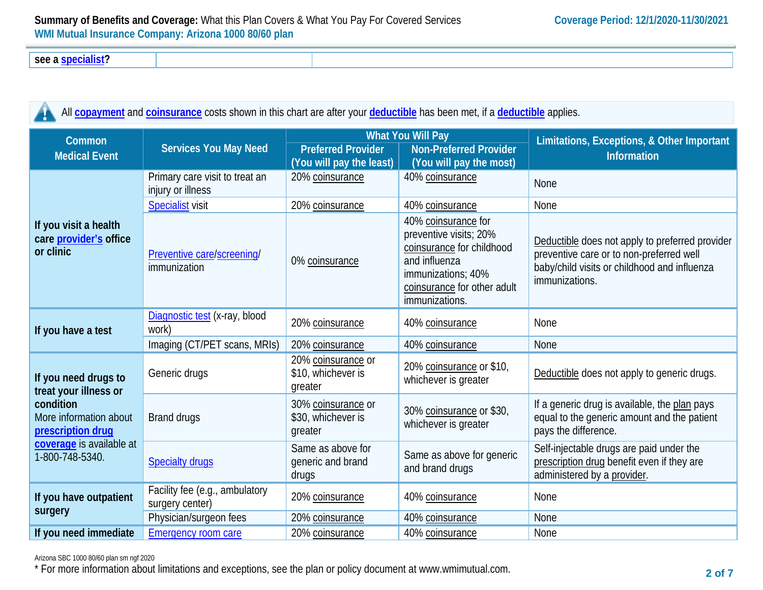**see a [specialist?](https://www.healthcare.gov/sbc-glossary/#specialist)**

| All <b>copayment</b> and <b>coinsurance</b> costs shown in this chart are after your <b>deductible</b> has been met, if a <i>deductible</i> applies. |                                |                                                               |                                                                               |                                                                  |
|------------------------------------------------------------------------------------------------------------------------------------------------------|--------------------------------|---------------------------------------------------------------|-------------------------------------------------------------------------------|------------------------------------------------------------------|
| Common<br><b>Medical Event</b>                                                                                                                       | Services You May Need          | <b>Preferred Provider</b><br>(You will pay the least) $\vert$ | <b>What You Will Pay</b><br>Non-Preferred Provider<br>(You will pay the most) | Limitations, Exceptions, & Other Important<br><b>Information</b> |
|                                                                                                                                                      | Primary care visit to treat an | $20\%$ coinsurance                                            | $40\%$ coinsurance                                                            |                                                                  |

|                                                                                                                                                          |                                                     | $\mu$ ou will puy the leady                         | $\mu$ ou will puy the most                                                                                                                                         |                                                                                                                                                               |
|----------------------------------------------------------------------------------------------------------------------------------------------------------|-----------------------------------------------------|-----------------------------------------------------|--------------------------------------------------------------------------------------------------------------------------------------------------------------------|---------------------------------------------------------------------------------------------------------------------------------------------------------------|
| If you visit a health<br>care provider's office<br>or clinic                                                                                             | Primary care visit to treat an<br>injury or illness | 20% coinsurance                                     | 40% coinsurance                                                                                                                                                    | <b>None</b>                                                                                                                                                   |
|                                                                                                                                                          | <b>Specialist visit</b>                             | 20% coinsurance                                     | 40% coinsurance                                                                                                                                                    | None                                                                                                                                                          |
|                                                                                                                                                          | Preventive care/screening/<br>immunization          | 0% coinsurance                                      | 40% coinsurance for<br>preventive visits; 20%<br>coinsurance for childhood<br>and influenza<br>immunizations; 40%<br>coinsurance for other adult<br>immunizations. | Deductible does not apply to preferred provider<br>preventive care or to non-preferred well<br>baby/child visits or childhood and influenza<br>immunizations. |
| If you have a test                                                                                                                                       | Diagnostic test (x-ray, blood<br>work)              | 20% coinsurance                                     | 40% coinsurance                                                                                                                                                    | None                                                                                                                                                          |
|                                                                                                                                                          | Imaging (CT/PET scans, MRIs)                        | 20% coinsurance                                     | 40% coinsurance                                                                                                                                                    | None                                                                                                                                                          |
| If you need drugs to<br>treat your illness or<br>condition<br>More information about<br>prescription drug<br>coverage is available at<br>1-800-748-5340. | Generic drugs                                       | 20% coinsurance or<br>\$10, whichever is<br>greater | 20% coinsurance or \$10,<br>whichever is greater                                                                                                                   | Deductible does not apply to generic drugs.                                                                                                                   |
|                                                                                                                                                          | Brand drugs                                         | 30% coinsurance or<br>\$30, whichever is<br>greater | 30% coinsurance or \$30,<br>whichever is greater                                                                                                                   | If a generic drug is available, the plan pays<br>equal to the generic amount and the patient<br>pays the difference.                                          |
|                                                                                                                                                          | <b>Specialty drugs</b>                              | Same as above for<br>generic and brand<br>drugs     | Same as above for generic<br>and brand drugs                                                                                                                       | Self-injectable drugs are paid under the<br>prescription drug benefit even if they are<br>administered by a provider.                                         |
| If you have outpatient<br>surgery                                                                                                                        | Facility fee (e.g., ambulatory<br>surgery center)   | 20% coinsurance                                     | 40% coinsurance                                                                                                                                                    | None                                                                                                                                                          |
|                                                                                                                                                          | Physician/surgeon fees                              | 20% coinsurance                                     | 40% coinsurance                                                                                                                                                    | None                                                                                                                                                          |
| If you need immediate                                                                                                                                    | <b>Emergency room care</b>                          | 20% coinsurance                                     | 40% coinsurance                                                                                                                                                    | None                                                                                                                                                          |

#### Arizona SBC 1000 80/60 plan sm ngf 2020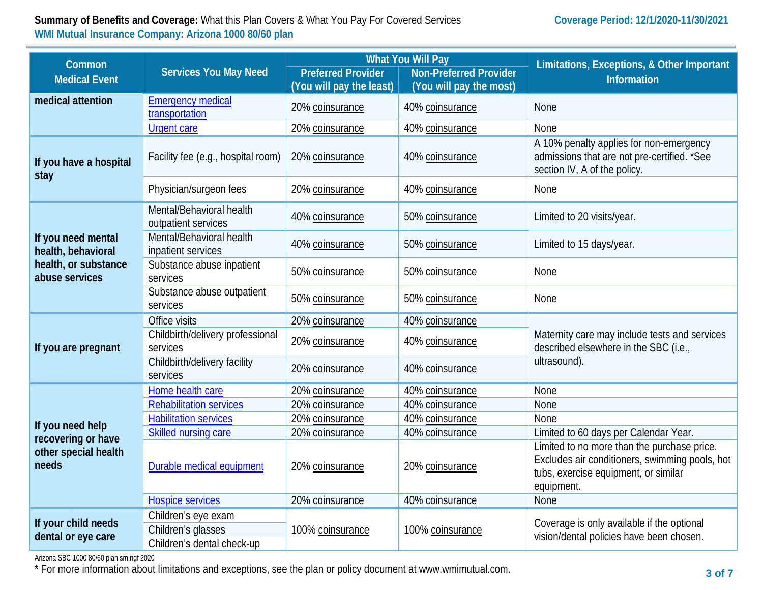# **Summary of Benefits and Coverage:** What this Plan Covers & What You Pay For Covered Services **Coverage Period: 12/1/2020-11/30/2021 WMI Mutual Insurance Company: Arizona 1000 80/60 plan**

| Common<br><b>Medical Event</b>                                                     | <b>Services You May Need</b>                    | <b>What You Will Pay</b><br><b>Preferred Provider</b><br><b>Non-Preferred Provider</b><br>(You will pay the least)<br>(You will pay the most) |                  | Limitations, Exceptions, & Other Important<br><b>Information</b>                                                                                    |  |
|------------------------------------------------------------------------------------|-------------------------------------------------|-----------------------------------------------------------------------------------------------------------------------------------------------|------------------|-----------------------------------------------------------------------------------------------------------------------------------------------------|--|
| medical attention                                                                  | <b>Emergency medical</b><br>transportation      | 20% coinsurance                                                                                                                               | 40% coinsurance  | <b>None</b>                                                                                                                                         |  |
|                                                                                    | <b>Urgent care</b>                              | 20% coinsurance                                                                                                                               | 40% coinsurance  | None                                                                                                                                                |  |
| If you have a hospital<br>stay                                                     | Facility fee (e.g., hospital room)              | 20% coinsurance                                                                                                                               | 40% coinsurance  | A 10% penalty applies for non-emergency<br>admissions that are not pre-certified. *See<br>section IV, A of the policy.                              |  |
|                                                                                    | Physician/surgeon fees                          | 20% coinsurance                                                                                                                               | 40% coinsurance  | None                                                                                                                                                |  |
| If you need mental<br>health, behavioral<br>health, or substance<br>abuse services | Mental/Behavioral health<br>outpatient services | 40% coinsurance                                                                                                                               | 50% coinsurance  | Limited to 20 visits/year.                                                                                                                          |  |
|                                                                                    | Mental/Behavioral health<br>inpatient services  | 40% coinsurance                                                                                                                               | 50% coinsurance  | Limited to 15 days/year.                                                                                                                            |  |
|                                                                                    | Substance abuse inpatient<br>services           | 50% coinsurance                                                                                                                               | 50% coinsurance  | None                                                                                                                                                |  |
|                                                                                    | Substance abuse outpatient<br>services          | 50% coinsurance                                                                                                                               | 50% coinsurance  | None                                                                                                                                                |  |
| If you are pregnant                                                                | Office visits                                   | 20% coinsurance                                                                                                                               | 40% coinsurance  | Maternity care may include tests and services<br>described elsewhere in the SBC (i.e.,<br>ultrasound).                                              |  |
|                                                                                    | Childbirth/delivery professional<br>services    | 20% coinsurance                                                                                                                               | 40% coinsurance  |                                                                                                                                                     |  |
|                                                                                    | Childbirth/delivery facility<br>services        | 20% coinsurance                                                                                                                               | 40% coinsurance  |                                                                                                                                                     |  |
|                                                                                    | Home health care                                | 20% coinsurance                                                                                                                               | 40% coinsurance  | None                                                                                                                                                |  |
|                                                                                    | <b>Rehabilitation services</b>                  | 20% coinsurance                                                                                                                               | 40% coinsurance  | None                                                                                                                                                |  |
| If you need help<br>recovering or have<br>other special health<br>needs            | <b>Habilitation services</b>                    | 20% coinsurance                                                                                                                               | 40% coinsurance  | None                                                                                                                                                |  |
|                                                                                    | Skilled nursing care                            | 20% coinsurance                                                                                                                               | 40% coinsurance  | Limited to 60 days per Calendar Year.                                                                                                               |  |
|                                                                                    | Durable medical equipment                       | 20% coinsurance                                                                                                                               | 20% coinsurance  | Limited to no more than the purchase price.<br>Excludes air conditioners, swimming pools, hot<br>tubs, exercise equipment, or similar<br>equipment. |  |
|                                                                                    | <b>Hospice services</b>                         | 20% coinsurance                                                                                                                               | 40% coinsurance  | None                                                                                                                                                |  |
|                                                                                    | Children's eye exam                             |                                                                                                                                               | 100% coinsurance | Coverage is only available if the optional<br>vision/dental policies have been chosen.                                                              |  |
| If your child needs<br>dental or eye care                                          | Children's glasses                              | 100% coinsurance                                                                                                                              |                  |                                                                                                                                                     |  |
|                                                                                    | Children's dental check-up                      |                                                                                                                                               |                  |                                                                                                                                                     |  |

Arizona SBC 1000 80/60 plan sm ngf 2020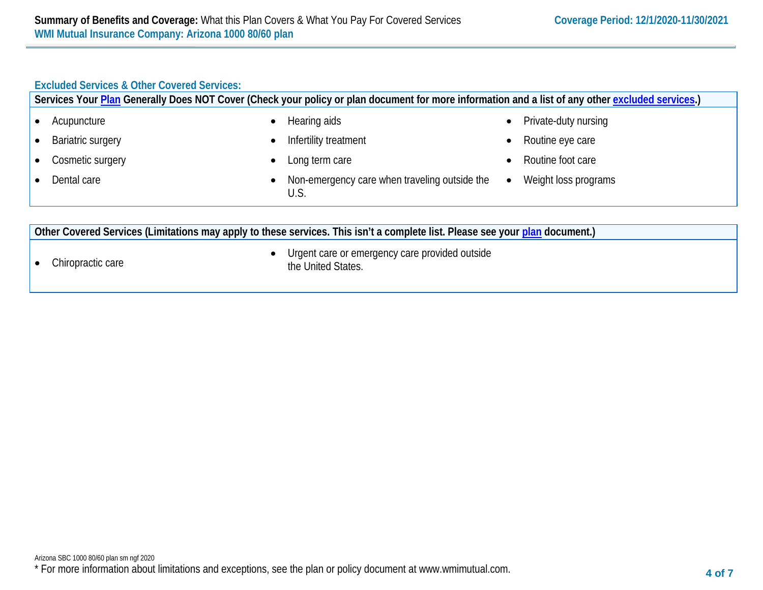# **Excluded Services & Other Covered Services:**

|                                                                                                                              | Services Your Plan Generally Does NOT Cover (Check your policy or plan document for more information and a list of any other excluded services.) |                                   |  |  |  |
|------------------------------------------------------------------------------------------------------------------------------|--------------------------------------------------------------------------------------------------------------------------------------------------|-----------------------------------|--|--|--|
| Acupuncture                                                                                                                  | Hearing aids                                                                                                                                     | Private-duty nursing<br>$\bullet$ |  |  |  |
| Bariatric surgery                                                                                                            | Infertility treatment                                                                                                                            | Routine eye care<br>$\bullet$     |  |  |  |
| Cosmetic surgery                                                                                                             | Long term care                                                                                                                                   | Routine foot care                 |  |  |  |
| Dental care                                                                                                                  | Non-emergency care when traveling outside the<br>U.S.                                                                                            | Weight loss programs<br>$\bullet$ |  |  |  |
| Other Covered Services (Limitations may apply to these services. This isn't a complete list. Please see your plan document.) |                                                                                                                                                  |                                   |  |  |  |
| Urgent care or emergency care provided outside<br>Chiropractic care<br>the United States.                                    |                                                                                                                                                  |                                   |  |  |  |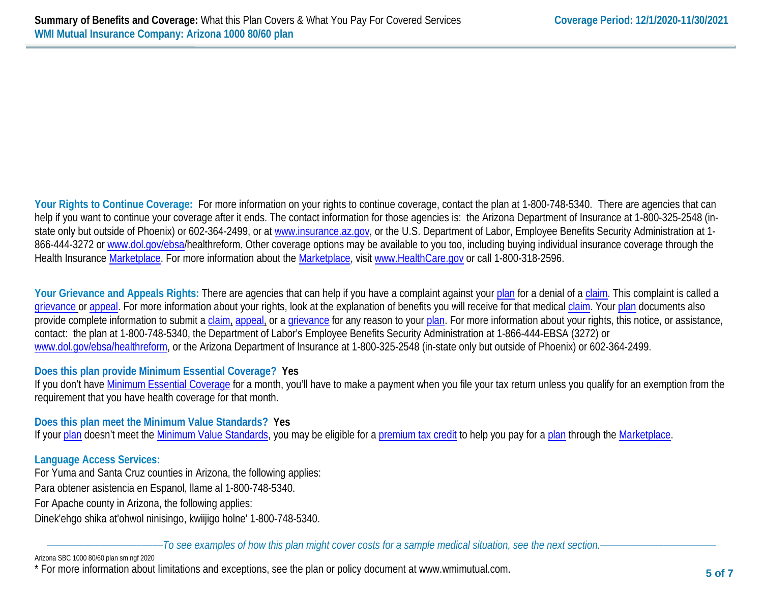**Your Rights to Continue Coverage:** For more information on your rights to continue coverage, contact the plan at 1-800-748-5340. There are agencies that can help if you want to continue your coverage after it ends. The contact information for those agencies is: the Arizona Department of Insurance at 1-800-325-2548 (instate only but outside of Phoenix) or 602-364-2499, or at www.insurance.az.gov, or the U.S. Department of Labor, Employee Benefits Security Administration at 1866-444-3272 or [www.dol.gov/ebsa/](http://www.dol.gov/ebsa)healthreform. Other coverage options may be available to you too, including buying individual insurance coverage through the Health Insurance [Marketplace.](https://www.healthcare.gov/sbc-glossary/#marketplace) For more information about the [Marketplace,](https://www.healthcare.gov/sbc-glossary/#marketplace) visit [www.HealthCare.gov](http://www.healthcare.gov/) or call 1-800-318-2596.

Your Grievance and Appeals Rights: There are agencies that can help if you have a complaint against you[r plan](https://www.healthcare.gov/sbc-glossary/#plan) for a denial of a [claim.](https://www.healthcare.gov/sbc-glossary/#claim) This complaint is called a [grievance](https://www.healthcare.gov/sbc-glossary/#grievance) or [appeal.](https://www.healthcare.gov/sbc-glossary/#appeal) For more information about your rights, look at the explanation of benefits you will receive for that medica[l claim.](https://www.healthcare.gov/sbc-glossary/#claim) Your [plan](https://www.healthcare.gov/sbc-glossary/#plan) documents also provide complete information to submit a [claim,](https://www.healthcare.gov/sbc-glossary/#claim) [appeal,](https://www.healthcare.gov/sbc-glossary/#appeal) or a [grievance](https://www.healthcare.gov/sbc-glossary/#grievance) for any reason to your [plan.](https://www.healthcare.gov/sbc-glossary/#plan) For more information about your rights, this notice, or assistance, contact: the plan at 1-800-748-5340, the Department of Labor's Employee Benefits Security Administration at 1-866-444-EBSA (3272) or [www.dol.gov/ebsa/healthreform,](http://www.dol.gov/ebsa/healthreform) or the Arizona Department of Insurance at 1-800-325-2548 (in-state only but outside of Phoenix) or 602-364-2499.

# **Does this plan provide Minimum Essential Coverage? Yes**

If you don't have [Minimum Essential Coverage](https://www.healthcare.gov/sbc-glossary/#minimum-essential-coverage) for a month, you'll have to make a payment when you file your tax return unless you qualify for an exemption from the requirement that you have health coverage for that month.

### **Does this plan meet the Minimum Value Standards? Yes**

If your [plan](https://www.healthcare.gov/sbc-glossary/#plan) doesn't meet the [Minimum Value Standards,](https://www.healthcare.gov/sbc-glossary/#minimum-value-standard) you may be eligible for a [premium tax credit](https://www.healthcare.gov/sbc-glossary/#premium-tax-credits) to help you pay for a plan through the [Marketplace.](https://www.healthcare.gov/sbc-glossary/#marketplace)

### **Language Access Services:**

For Yuma and Santa Cruz counties in Arizona, the following applies:

Para obtener asistencia en Espanol, llame al 1-800-748-5340.

For Apache county in Arizona, the following applies:

Dinek'ehgo shika at'ohwol ninisingo, kwiijigo holne' 1-800-748-5340.

––––––––––––––––––––––*To see examples of how this plan might cover costs for a sample medical situation, see the next section.–––––––––––*–––––––––––

#### Arizona SBC 1000 80/60 plan sm ngf 2020